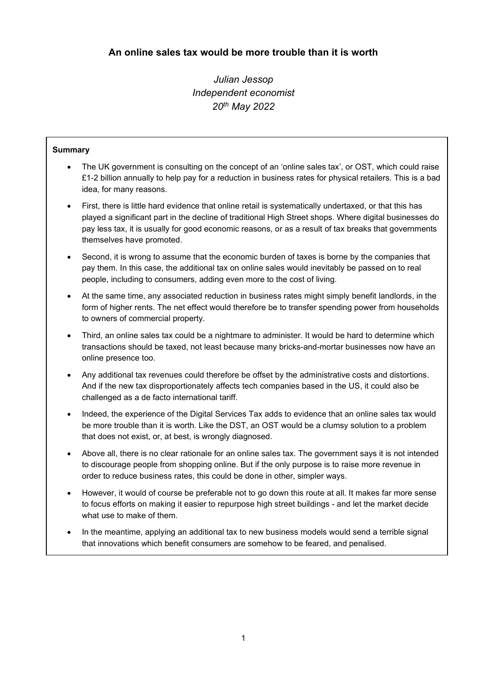Julian Jessop Independent economist 20th May 2022

# Summary

- The UK government is consulting on the concept of an 'online sales tax', or OST, which could raise £1-2 billion annually to help pay for a reduction in business rates for physical retailers. This is a bad idea, for many reasons.
- First, there is little hard evidence that online retail is systematically undertaxed, or that this has played a significant part in the decline of traditional High Street shops. Where digital businesses do pay less tax, it is usually for good economic reasons, or as a result of tax breaks that governments themselves have promoted.
- Second, it is wrong to assume that the economic burden of taxes is borne by the companies that pay them. In this case, the additional tax on online sales would inevitably be passed on to real people, including to consumers, adding even more to the cost of living.
- At the same time, any associated reduction in business rates might simply benefit landlords, in the form of higher rents. The net effect would therefore be to transfer spending power from households to owners of commercial property.
- Third, an online sales tax could be a nightmare to administer. It would be hard to determine which transactions should be taxed, not least because many bricks-and-mortar businesses now have an online presence too.
- Any additional tax revenues could therefore be offset by the administrative costs and distortions. And if the new tax disproportionately affects tech companies based in the US, it could also be challenged as a de facto international tariff.
- Indeed, the experience of the Digital Services Tax adds to evidence that an online sales tax would be more trouble than it is worth. Like the DST, an OST would be a clumsy solution to a problem that does not exist, or, at best, is wrongly diagnosed.
- Above all, there is no clear rationale for an online sales tax. The government says it is not intended to discourage people from shopping online. But if the only purpose is to raise more revenue in order to reduce business rates, this could be done in other, simpler ways.
- However, it would of course be preferable not to go down this route at all. It makes far more sense to focus efforts on making it easier to repurpose high street buildings - and let the market decide what use to make of them.
- In the meantime, applying an additional tax to new business models would send a terrible signal that innovations which benefit consumers are somehow to be feared, and penalised.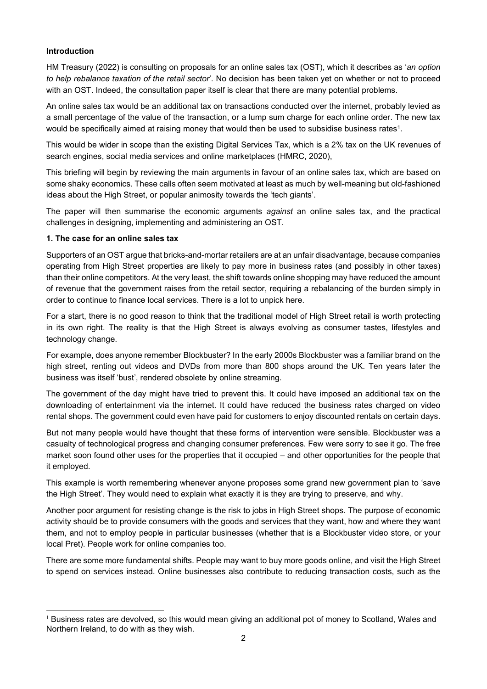## Introduction

HM Treasury (2022) is consulting on proposals for an online sales tax (OST), which it describes as 'an option to help rebalance taxation of the retail sector'. No decision has been taken yet on whether or not to proceed with an OST. Indeed, the consultation paper itself is clear that there are many potential problems.

An online sales tax would be an additional tax on transactions conducted over the internet, probably levied as a small percentage of the value of the transaction, or a lump sum charge for each online order. The new tax would be specifically aimed at raising money that would then be used to subsidise business rates<sup>1</sup>.

. This would be wider in scope than the existing Digital Services Tax, which is a 2% tax on the UK revenues of search engines, social media services and online marketplaces (HMRC, 2020),

This briefing will begin by reviewing the main arguments in favour of an online sales tax, which are based on some shaky economics. These calls often seem motivated at least as much by well-meaning but old-fashioned ideas about the High Street, or popular animosity towards the 'tech giants'.

The paper will then summarise the economic arguments *against* an online sales tax, and the practical challenges in designing, implementing and administering an OST.

### 1. The case for an online sales tax

Supporters of an OST argue that bricks-and-mortar retailers are at an unfair disadvantage, because companies operating from High Street properties are likely to pay more in business rates (and possibly in other taxes) than their online competitors. At the very least, the shift towards online shopping may have reduced the amount of revenue that the government raises from the retail sector, requiring a rebalancing of the burden simply in order to continue to finance local services. There is a lot to unpick here.

For a start, there is no good reason to think that the traditional model of High Street retail is worth protecting in its own right. The reality is that the High Street is always evolving as consumer tastes, lifestyles and technology change.

For example, does anyone remember Blockbuster? In the early 2000s Blockbuster was a familiar brand on the high street, renting out videos and DVDs from more than 800 shops around the UK. Ten years later the business was itself 'bust', rendered obsolete by online streaming.

The government of the day might have tried to prevent this. It could have imposed an additional tax on the downloading of entertainment via the internet. It could have reduced the business rates charged on video rental shops. The government could even have paid for customers to enjoy discounted rentals on certain days.

But not many people would have thought that these forms of intervention were sensible. Blockbuster was a casualty of technological progress and changing consumer preferences. Few were sorry to see it go. The free market soon found other uses for the properties that it occupied – and other opportunities for the people that it employed.

This example is worth remembering whenever anyone proposes some grand new government plan to 'save the High Street'. They would need to explain what exactly it is they are trying to preserve, and why.

Another poor argument for resisting change is the risk to jobs in High Street shops. The purpose of economic activity should be to provide consumers with the goods and services that they want, how and where they want them, and not to employ people in particular businesses (whether that is a Blockbuster video store, or your local Pret). People work for online companies too.

There are some more fundamental shifts. People may want to buy more goods online, and visit the High Street to spend on services instead. Online businesses also contribute to reducing transaction costs, such as the

 $1$  Business rates are devolved, so this would mean giving an additional pot of money to Scotland, Wales and Northern Ireland, to do with as they wish.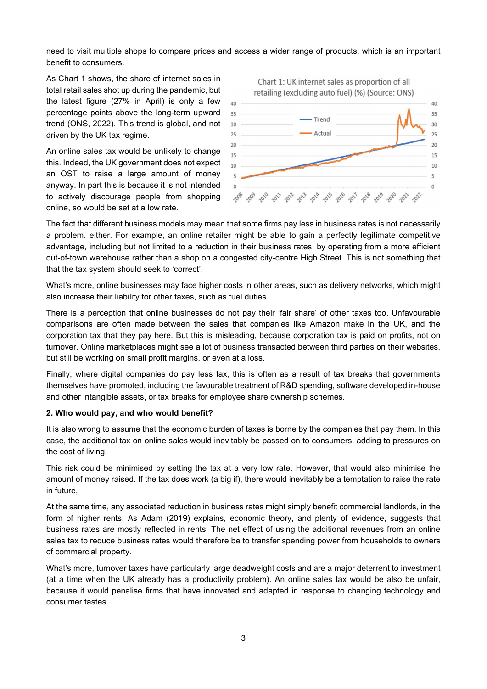need to visit multiple shops to compare prices and access a wider range of products, which is an important benefit to consumers.

As Chart 1 shows, the share of internet sales in Chart 1: UK internet sales as proportion of all total retail sales shot up during the pandemic, but retailing (excluding auto fuel) (%) (Source: ONS) the latest figure (27% in April) is only a few  $_{40}$ percentage points above the long-term upward trend (ONS, 2022). This trend is global, and not driven by the UK tax regime.

An online sales tax would be unlikely to change  $\frac{1}{15}$ this. Indeed, the UK government does not expect  $_{10}$ an OST to raise a large amount of money anyway. In part this is because it is not intended o to actively discourage people from shopping  $\mathcal{A}^{\phi} \mathcal{A}^{\phi} \mathcal{A}^{\phi} \mathcal{A}^{\phi} \mathcal{A}^{\phi}$ online, so would be set at a low rate.



The fact that different business models may mean that some firms pay less in business rates is not necessarily a problem. either. For example, an online retailer might be able to gain a perfectly legitimate competitive advantage, including but not limited to a reduction in their business rates, by operating from a more efficient out-of-town warehouse rather than a shop on a congested city-centre High Street. This is not something that that the tax system should seek to 'correct'.

What's more, online businesses may face higher costs in other areas, such as delivery networks, which might also increase their liability for other taxes, such as fuel duties.

There is a perception that online businesses do not pay their 'fair share' of other taxes too. Unfavourable comparisons are often made between the sales that companies like Amazon make in the UK, and the corporation tax that they pay here. But this is misleading, because corporation tax is paid on profits, not on turnover. Online marketplaces might see a lot of business transacted between third parties on their websites, but still be working on small profit margins, or even at a loss.

Finally, where digital companies do pay less tax, this is often as a result of tax breaks that governments themselves have promoted, including the favourable treatment of R&D spending, software developed in-house and other intangible assets, or tax breaks for employee share ownership schemes.

#### 2. Who would pay, and who would benefit?

It is also wrong to assume that the economic burden of taxes is borne by the companies that pay them. In this case, the additional tax on online sales would inevitably be passed on to consumers, adding to pressures on the cost of living.

This risk could be minimised by setting the tax at a very low rate. However, that would also minimise the amount of money raised. If the tax does work (a big if), there would inevitably be a temptation to raise the rate in future,

At the same time, any associated reduction in business rates might simply benefit commercial landlords, in the form of higher rents. As Adam (2019) explains, economic theory, and plenty of evidence, suggests that business rates are mostly reflected in rents. The net effect of using the additional revenues from an online sales tax to reduce business rates would therefore be to transfer spending power from households to owners of commercial property.

What's more, turnover taxes have particularly large deadweight costs and are a major deterrent to investment (at a time when the UK already has a productivity problem). An online sales tax would be also be unfair, because it would penalise firms that have innovated and adapted in response to changing technology and consumer tastes.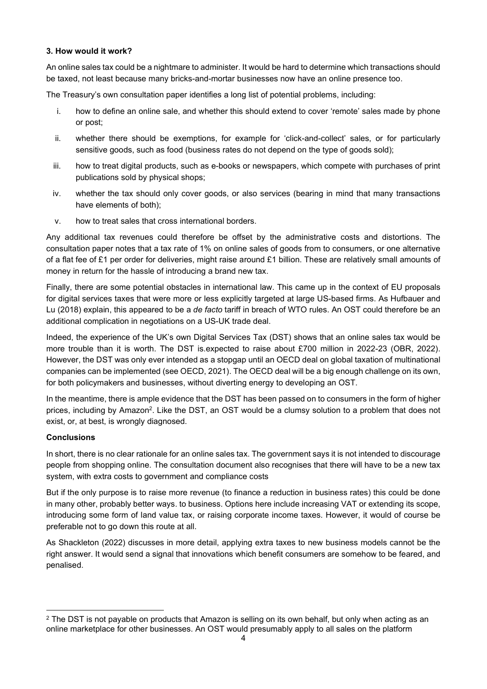## 3. How would it work?

An online sales tax could be a nightmare to administer. It would be hard to determine which transactions should be taxed, not least because many bricks-and-mortar businesses now have an online presence too.

The Treasury's own consultation paper identifies a long list of potential problems, including:

- i. how to define an online sale, and whether this should extend to cover 'remote' sales made by phone or post;
- ii. whether there should be exemptions, for example for 'click-and-collect' sales, or for particularly sensitive goods, such as food (business rates do not depend on the type of goods sold);
- iii. how to treat digital products, such as e-books or newspapers, which compete with purchases of print publications sold by physical shops;
- iv. whether the tax should only cover goods, or also services (bearing in mind that many transactions have elements of both);
- v. how to treat sales that cross international borders.

Any additional tax revenues could therefore be offset by the administrative costs and distortions. The consultation paper notes that a tax rate of 1% on online sales of goods from to consumers, or one alternative of a flat fee of £1 per order for deliveries, might raise around £1 billion. These are relatively small amounts of money in return for the hassle of introducing a brand new tax.

Finally, there are some potential obstacles in international law. This came up in the context of EU proposals for digital services taxes that were more or less explicitly targeted at large US-based firms. As Hufbauer and Lu (2018) explain, this appeared to be a de facto tariff in breach of WTO rules. An OST could therefore be an additional complication in negotiations on a US-UK trade deal.

Indeed, the experience of the UK's own Digital Services Tax (DST) shows that an online sales tax would be more trouble than it is worth. The DST is.expected to raise about £700 million in 2022-23 (OBR, 2022). However, the DST was only ever intended as a stopgap until an OECD deal on global taxation of multinational companies can be implemented (see OECD, 2021). The OECD deal will be a big enough challenge on its own, for both policymakers and businesses, without diverting energy to developing an OST.

In the meantime, there is ample evidence that the DST has been passed on to consumers in the form of higher prices, including by Amazon<sup>2</sup>. Like the DST, an OST would be a clumsy solution to a problem that does not exist, or, at best, is wrongly diagnosed.

# **Conclusions**

In short, there is no clear rationale for an online sales tax. The government says it is not intended to discourage people from shopping online. The consultation document also recognises that there will have to be a new tax system, with extra costs to government and compliance costs

But if the only purpose is to raise more revenue (to finance a reduction in business rates) this could be done in many other, probably better ways. to business. Options here include increasing VAT or extending its scope, introducing some form of land value tax, or raising corporate income taxes. However, it would of course be preferable not to go down this route at all.

As Shackleton (2022) discusses in more detail, applying extra taxes to new business models cannot be the right answer. It would send a signal that innovations which benefit consumers are somehow to be feared, and penalised.

 $2$  The DST is not payable on products that Amazon is selling on its own behalf, but only when acting as an online marketplace for other businesses. An OST would presumably apply to all sales on the platform